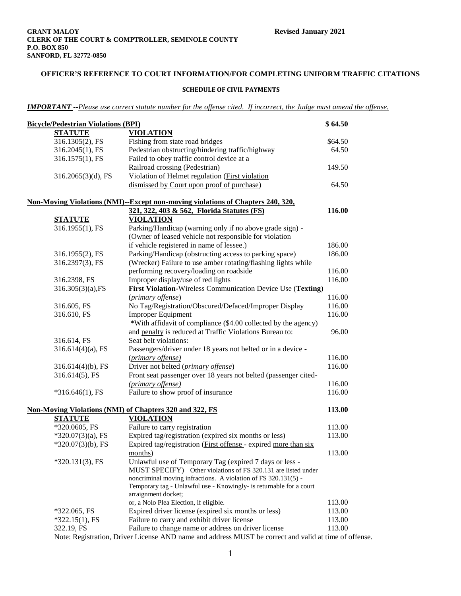#### **SCHEDULE OF CIVIL PAYMENTS**

*IMPORTANT --Please use correct statute number for the offense cited. If incorrect, the Judge must amend the offense.*

| <b>Bicycle/Pedestrian Violations (BPI)</b> |                                                                                            | \$64.50 |
|--------------------------------------------|--------------------------------------------------------------------------------------------|---------|
| <b>STATUTE</b>                             | <b>VIOLATION</b>                                                                           |         |
| 316.1305(2), FS                            | Fishing from state road bridges                                                            | \$64.50 |
| 316.2045(1), FS                            | Pedestrian obstructing/hindering traffic/highway                                           | 64.50   |
| 316.1575(1), FS                            | Failed to obey traffic control device at a                                                 |         |
|                                            | Railroad crossing (Pedestrian)                                                             | 149.50  |
| 316.2065(3)(d), FS                         | Violation of Helmet regulation ( <i>First violation</i>                                    |         |
|                                            | dismissed by Court upon proof of purchase)                                                 | 64.50   |
|                                            |                                                                                            |         |
|                                            | <b>Non-Moving Violations (NMI)--Except non-moving violations of Chapters 240, 320,</b>     |         |
|                                            | 321, 322, 403 & 562, Florida Statutes (FS)                                                 | 116.00  |
| <b>STATUTE</b>                             | <b>VIOLATION</b>                                                                           |         |
| 316.1955(1), FS                            | Parking/Handicap (warning only if no above grade sign) -                                   |         |
|                                            | (Owner of leased vehicle not responsible for violation                                     |         |
|                                            | if vehicle registered in name of lessee.)                                                  | 186.00  |
| 316.1955(2), FS                            | Parking/Handicap (obstructing access to parking space)                                     | 186.00  |
| 316.2397(3), FS                            | (Wrecker) Failure to use amber rotating/flashing lights while                              |         |
|                                            | performing recovery/loading on roadside                                                    | 116.00  |
| 316.2398, FS                               | Improper display/use of red lights                                                         | 116.00  |
| $316.305(3)(a)$ , FS                       | First Violation-Wireless Communication Device Use (Texting)                                |         |
|                                            | (primary offense)                                                                          | 116.00  |
| 316.605, FS                                | No Tag/Registration/Obscured/Defaced/Improper Display                                      | 116.00  |
| 316.610, FS                                | <b>Improper Equipment</b>                                                                  | 116.00  |
|                                            | *With affidavit of compliance (\$4.00 collected by the agency)                             |         |
|                                            | and penalty is reduced at Traffic Violations Bureau to:                                    | 96.00   |
| 316.614, FS                                | Seat belt violations:                                                                      |         |
| $316.614(4)(a)$ , FS                       | Passengers/driver under 18 years not belted or in a device -                               |         |
|                                            | (primary offense)                                                                          | 116.00  |
| $316.614(4)(b)$ , FS                       | Driver not belted (primary offense)                                                        | 116.00  |
| 316.614(5), FS                             | Front seat passenger over 18 years not belted (passenger cited-                            |         |
|                                            | (primary offense)                                                                          | 116.00  |
| $*316.646(1)$ , FS                         | Failure to show proof of insurance                                                         | 116.00  |
|                                            |                                                                                            |         |
|                                            | <b>Non-Moving Violations (NMI) of Chapters 320 and 322, FS</b>                             | 113.00  |
| <b>STATUTE</b>                             | <b>VIOLATION</b>                                                                           |         |
| *320.0605, FS                              | Failure to carry registration                                                              | 113.00  |
| $*320.07(3)(a)$ , FS                       | Expired tag/registration (expired six months or less)                                      | 113.00  |
| $*320.07(3)(b)$ , FS                       | Expired tag/registration (First offense - expired more than six                            |         |
|                                            | months)                                                                                    | 113.00  |
| $*320.131(3)$ , FS                         | Unlawful use of Temporary Tag (expired 7 days or less -                                    |         |
|                                            | MUST SPECIFY) – Other violations of FS 320.131 are listed under                            |         |
|                                            | noncriminal moving infractions. A violation of FS 320.131(5) -                             |         |
|                                            | Temporary tag - Unlawful use - Knowingly- is returnable for a court<br>arraignment docket; |         |
|                                            | or, a Nolo Plea Election, if eligible.                                                     | 113.00  |
| $*322.065$ , FS                            | Expired driver license (expired six months or less)                                        | 113.00  |
| $*322.15(1)$ , FS                          | Failure to carry and exhibit driver license                                                | 113.00  |
| 322.19, FS                                 | Failure to change name or address on driver license                                        | 113.00  |
|                                            |                                                                                            |         |

Note: Registration, Driver License AND name and address MUST be correct and valid at time of offense.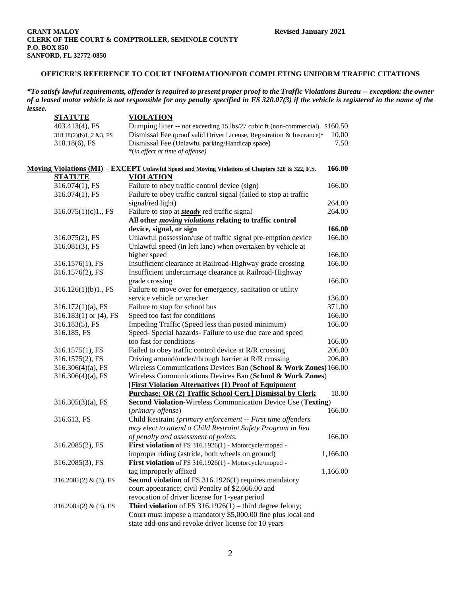*\*To satisfy lawful requirements, offender is required to present proper proof to the Traffic Violations Bureau -- exception: the owner of a leased motor vehicle is not responsible for any penalty specified in FS 320.07(3) if the vehicle is registered in the name of the lessee.*

| ルレいいしし。 | <b>STATUTE</b>              | <b>VIOLATION</b>                                                                                 |          |
|---------|-----------------------------|--------------------------------------------------------------------------------------------------|----------|
|         | 403.413(4), FS              | Dumping litter -- not exceeding 15 lbs/27 cubic ft (non-commercial) \$160.50                     |          |
|         | 318.18(2)(b)1.,2 &3, FS     | Dismissal Fee (proof valid Driver License, Registration & Insurance)*                            | 10.00    |
|         | 318.18(6), FS               | Dismissal Fee (Unlawful parking/Handicap space)                                                  | 7.50     |
|         |                             | *(in effect at time of offense)                                                                  |          |
|         |                             | Moving Violations (MI) - EXCEPT Unlawful Speed and Moving Violations of Chapters 320 & 322, F.S. | 166.00   |
|         | <b>STATUTE</b>              | <b>VIOLATION</b>                                                                                 |          |
|         | 316.074(1), FS              | Failure to obey traffic control device (sign)                                                    | 166.00   |
|         | 316.074(1), FS              | Failure to obey traffic control signal (failed to stop at traffic                                |          |
|         |                             | signal/red light)                                                                                | 264.00   |
|         | 316.075(1)(c)1., FS         | Failure to stop at <b>steady</b> red traffic signal                                              | 264.00   |
|         |                             | All other <i>moving violations</i> relating to traffic control                                   |          |
|         |                             | device, signal, or sign                                                                          | 166.00   |
|         | 316.075(2), FS              | Unlawful possession/use of traffic signal pre-emption device                                     | 166.00   |
|         | 316.081(3), FS              | Unlawful speed (in left lane) when overtaken by vehicle at                                       |          |
|         |                             | higher speed                                                                                     | 166.00   |
|         | 316.1576(1), FS             | Insufficient clearance at Railroad-Highway grade crossing                                        | 166.00   |
|         | 316.1576(2), FS             | Insufficient undercarriage clearance at Railroad-Highway                                         |          |
|         |                             | grade crossing                                                                                   | 166.00   |
|         | 316.126(1)(b)1, FS          | Failure to move over for emergency, sanitation or utility                                        |          |
|         |                             | service vehicle or wrecker                                                                       | 136.00   |
|         | $316.172(1)(a)$ , FS        | Failure to stop for school bus                                                                   | 371.00   |
|         | $316.183(1)$ or (4), FS     | Speed too fast for conditions                                                                    | 166.00   |
|         | 316.183(5), FS              | Impeding Traffic (Speed less than posted minimum)                                                | 166.00   |
|         | 316.185, FS                 | Speed- Special hazards- Failure to use due care and speed                                        |          |
|         |                             | too fast for conditions                                                                          | 166.00   |
|         | 316.1575(1), FS             | Failed to obey traffic control device at R/R crossing                                            | 206.00   |
|         | 316.1575(2), FS             | Driving around/under/through barrier at R/R crossing                                             | 206.00   |
|         | $316.306(4)(a)$ , FS        | Wireless Communications Devices Ban (School & Work Zones) 166.00                                 |          |
|         | $316.306(4)(a)$ , FS        | Wireless Communications Devices Ban (School & Work Zones)                                        |          |
|         |                             | <b>[First Violation Alternatives (1) Proof of Equipment</b>                                      |          |
|         |                             | Purchase; OR (2) Traffic School Cert.] Dismissal by Clerk                                        | 18.00    |
|         | $316.305(3)(a)$ , FS        | Second Violation-Wireless Communication Device Use (Texting)                                     |          |
|         |                             | (primary offense)                                                                                | 166.00   |
|         | 316.613, FS                 | Child Restraint (primary enforcement -- First time offenders                                     |          |
|         |                             | may elect to attend a Child Restraint Safety Program in lieu                                     | 166.00   |
|         |                             | of penalty and assessment of points.<br>First violation of FS 316.1926(1) - Motorcycle/moped -   |          |
|         | 316.2085(2), FS             | improper riding (astride, both wheels on ground)                                                 | 1,166.00 |
|         | 316.2085(3), FS             | First violation of FS 316.1926(1) - Motorcycle/moped -                                           |          |
|         |                             | tag improperly affixed                                                                           | 1,166.00 |
|         | 316.2085(2) & (3), FS       | Second violation of FS 316.1926(1) requires mandatory                                            |          |
|         |                             | court appearance; civil Penalty of \$2,666.00 and                                                |          |
|         |                             | revocation of driver license for 1-year period                                                   |          |
|         | 316.2085 $(2)$ & $(3)$ , FS | Third violation of FS $316.1926(1)$ – third degree felony;                                       |          |
|         |                             | Court must impose a mandatory \$5,000.00 fine plus local and                                     |          |
|         |                             | state add-ons and revoke driver license for 10 years                                             |          |
|         |                             |                                                                                                  |          |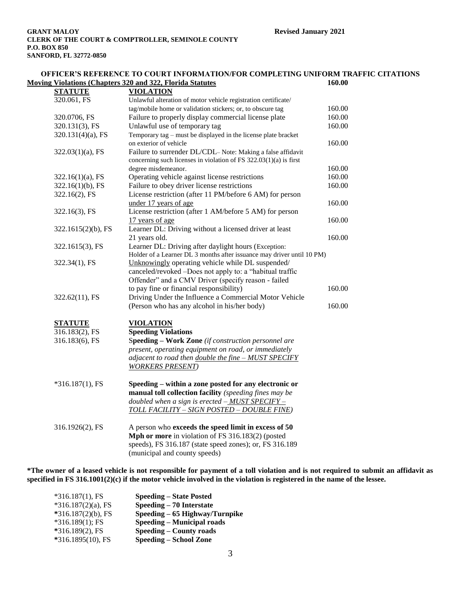|                      | <b>Moving Violations (Chapters 320 and 322, Florida Statutes)</b>      | 160.00 |
|----------------------|------------------------------------------------------------------------|--------|
| <b>STATUTE</b>       | <b>VIOLATION</b>                                                       |        |
| 320.061, FS          | Unlawful alteration of motor vehicle registration certificate/         |        |
|                      | tag/mobile home or validation stickers; or, to obscure tag             | 160.00 |
| 320.0706, FS         | Failure to properly display commercial license plate                   | 160.00 |
| 320.131(3), FS       | Unlawful use of temporary tag                                          | 160.00 |
| $320.131(4)(a)$ , FS | Temporary tag - must be displayed in the license plate bracket         |        |
|                      | on exterior of vehicle                                                 | 160.00 |
| $322.03(1)(a)$ , FS  | Failure to surrender DL/CDL– Note: Making a false affidavit            |        |
|                      | concerning such licenses in violation of FS 322.03(1)(a) is first      |        |
|                      | degree misdemeanor.                                                    | 160.00 |
| $322.16(1)(a)$ , FS  | Operating vehicle against license restrictions                         | 160.00 |
| $322.16(1)(b)$ , FS  | Failure to obey driver license restrictions                            | 160.00 |
| 322.16(2), FS        | License restriction (after 11 PM/before 6 AM) for person               |        |
|                      | under 17 years of age                                                  | 160.00 |
| 322.16(3), FS        | License restriction (after 1 AM/before 5 AM) for person                |        |
|                      | 17 years of age                                                        | 160.00 |
| 322.1615(2)(b), FS   | Learner DL: Driving without a licensed driver at least                 |        |
|                      | 21 years old.                                                          | 160.00 |
| 322.1615(3), FS      | Learner DL: Driving after daylight hours (Exception:                   |        |
|                      | Holder of a Learner DL 3 months after issuance may driver until 10 PM) |        |
| 322.34(1), FS        | Unknowingly operating vehicle while DL suspended/                      |        |
|                      | canceled/revoked -Does not apply to: a "habitual traffic               |        |
|                      | Offender" and a CMV Driver (specify reason - failed                    |        |
|                      | to pay fine or financial responsibility)                               | 160.00 |
| 322.62(11), FS       | Driving Under the Influence a Commercial Motor Vehicle                 |        |
|                      | (Person who has any alcohol in his/her body)                           | 160.00 |
| <b>STATUTE</b>       | <b>VIOLATION</b>                                                       |        |
| 316.183(2), FS       | <b>Speeding Violations</b>                                             |        |
| 316.183(6), FS       | Speeding - Work Zone (if construction personnel are                    |        |
|                      | present, operating equipment on road, or immediately                   |        |
|                      | adjacent to road then double the fine $-MUST$ SPECIFY                  |        |
|                      | <b>WORKERS PRESENT</b> )                                               |        |
| $*316.187(1)$ , FS   | Speeding – within a zone posted for any electronic or                  |        |
|                      | manual toll collection facility (speeding fines may be                 |        |
|                      | doubled when a sign is erected $-MUST$ SPECIFY -                       |        |
|                      | TOLL FACILITY - SIGN POSTED - DOUBLE FINE)                             |        |
| 316.1926(2), FS      | A person who exceeds the speed limit in excess of 50                   |        |
|                      | Mph or more in violation of FS 316.183(2) (posted                      |        |
|                      | speeds), FS 316.187 (state speed zones); or, FS 316.189                |        |

**\*The owner of a leased vehicle is not responsible for payment of a toll violation and is not required to submit an affidavit as specified in FS 316.1001(2)(c) if the motor vehicle involved in the violation is registered in the name of the lessee.**

| $*316.187(1)$ , FS    | <b>Speeding – State Posted</b>    |
|-----------------------|-----------------------------------|
| $*316.187(2)(a)$ , FS | Speeding – 70 Interstate          |
| $*316.187(2)(b)$ , FS | Speeding – 65 Highway/Turnpike    |
| $*316.189(1)$ ; FS    | <b>Speeding – Municipal roads</b> |
| $*316.189(2)$ , FS    | Speeding – County roads           |
| *316.1895(10), FS     | <b>Speeding – School Zone</b>     |

(municipal and county speeds)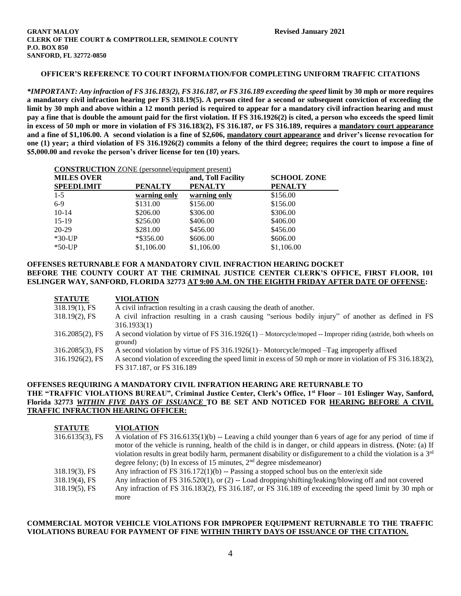*\*IMPORTANT: Any infraction of FS 316.183(2), FS 316.187, or FS 316.189 exceeding the speed* **limit by 30 mph or more requires a mandatory civil infraction hearing per FS 318.19(5). A person cited for a second or subsequent conviction of exceeding the limit by 30 mph and above within a 12 month period is required to appear for a mandatory civil infraction hearing and must pay a fine that is double the amount paid for the first violation. If FS 316.1926(2) is cited, a person who exceeds the speed limit in excess of 50 mph or more in violation of FS 316.183(2), FS 316.187, or FS 316.189, requires a mandatory court appearance and a fine of \$1,106.00. A second violation is a fine of \$2,606, mandatory court appearance and driver's license revocation for one (1) year; a third violation of FS 316.1926(2) commits a felony of the third degree; requires the court to impose a fine of \$5,000.00 and revoke the person's driver license for ten (10) years.**

| <b>MILES OVER</b><br><b>SPEEDLIMIT</b> | <b>PENALTY</b> | and, Toll Facility<br><b>PENALTY</b> | <b>SCHOOL ZONE</b><br><b>PENALTY</b> |
|----------------------------------------|----------------|--------------------------------------|--------------------------------------|
| $1-5$                                  | warning only   | warning only                         | \$156.00                             |
| $6-9$                                  | \$131.00       | \$156.00                             | \$156.00                             |
| $10-14$                                | \$206.00       | \$306.00                             | \$306.00                             |
| $15-19$                                | \$256.00       | \$406.00                             | \$406.00                             |
| 20-29                                  | \$281.00       | \$456.00                             | \$456.00                             |
| $*30-UP$                               | *\$356.00      | \$606.00                             | \$606.00                             |
| $*50-UP$                               | \$1,106.00     | \$1,106.00                           | \$1,106.00                           |

# **OFFENSES RETURNABLE FOR A MANDATORY CIVIL INFRACTION HEARING DOCKET BEFORE THE COUNTY COURT AT THE CRIMINAL JUSTICE CENTER CLERK'S OFFICE, FIRST FLOOR, 101 ESLINGER WAY, SANFORD, FLORIDA 32773 AT 9:00 A.M. ON THE EIGHTH FRIDAY AFTER DATE OF OFFENSE:**

| <b>STATUTE</b>     | <b>VIOLATION</b>                                                                                                |
|--------------------|-----------------------------------------------------------------------------------------------------------------|
| $318.19(1)$ , FS   | A civil infraction resulting in a crash causing the death of another.                                           |
| $318.19(2)$ , FS   | A civil infraction resulting in a crash causing "serious bodily injury" of another as defined in FS             |
|                    | 316.1933(1)                                                                                                     |
| $316.2085(2)$ , FS | A second violation by virtue of FS $316.1926(1)$ – Motorcycle/moped -- Improper riding (astride, both wheels on |
|                    | ground)                                                                                                         |
| $316.2085(3)$ , FS | A second violation by virtue of FS 316.1926(1)–Motorcycle/moped –Tag improperly affixed                         |
| $316.1926(2)$ , FS | A second violation of exceeding the speed limit in excess of 50 mph or more in violation of FS 316.183(2),      |
|                    | FS 317.187, or FS 316.189                                                                                       |

### **OFFENSES REQUIRING A MANDATORY CIVIL INFRATION HEARING ARE RETURNABLE TO THE "TRAFFIC VIOLATIONS BUREAU", Criminal Justice Center, Clerk's Office, 1st Floor – 101 Eslinger Way, Sanford, Florida 32773** *WITHIN FIVE DAYS OF ISSUANCE* **TO BE SET AND NOTICED FOR HEARING BEFORE A CIVIL TRAFFIC INFRACTION HEARING OFFICER:**

| <b>STATUTE</b>     | <b>VIOLATION</b>                                                                                                            |
|--------------------|-----------------------------------------------------------------------------------------------------------------------------|
| $316.6135(3)$ , FS | A violation of FS $316.6135(1)(b)$ -- Leaving a child younger than 6 years of age for any period of time if                 |
|                    | motor of the vehicle is running, health of the child is in danger, or child appears in distress. (Note: (a) If              |
|                    | violation results in great bodily harm, permanent disability or disfigurement to a child the violation is a 3 <sup>rd</sup> |
|                    | degree felony; (b) In excess of 15 minutes, $2nd$ degree misdemeanor)                                                       |
| $318.19(3)$ , FS   | Any infraction of FS 316.172(1)(b) -- Passing a stopped school bus on the enter/exit side                                   |
| $318.19(4)$ , FS   | Any infraction of FS $316.520(1)$ , or (2) -- Load dropping/shifting/leaking/blowing off and not covered                    |
| $318.19(5)$ , FS   | Any infraction of FS 316.183(2), FS 316.187, or FS 316.189 of exceeding the speed limit by 30 mph or                        |
|                    | more                                                                                                                        |

### **COMMERCIAL MOTOR VEHICLE VIOLATIONS FOR IMPROPER EQUIPMENT RETURNABLE TO THE TRAFFIC VIOLATIONS BUREAU FOR PAYMENT OF FINE WITHIN THIRTY DAYS OF ISSUANCE OF THE CITATION.**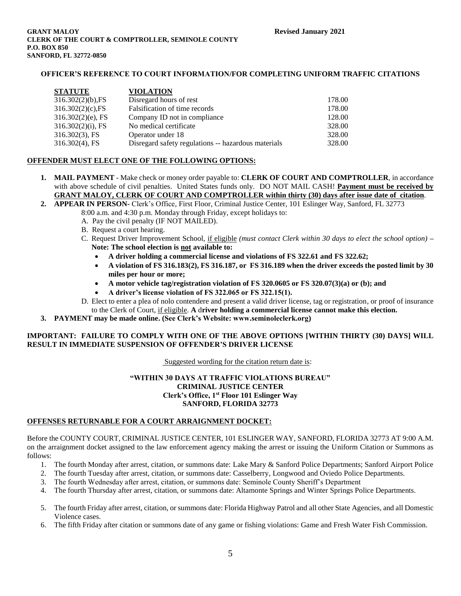| <b>STATUTE</b>       | <b>VIOLATION</b>                                    |        |
|----------------------|-----------------------------------------------------|--------|
| $316.302(2)(b)$ , FS | Disregard hours of rest                             | 178.00 |
| $316.302(2)(c)$ , FS | Falsification of time records                       | 178.00 |
| $316.302(2)(e)$ , FS | Company ID not in compliance                        | 128.00 |
| $316.302(2)(i)$ , FS | No medical certificate                              | 328.00 |
| $316.302(3)$ , FS    | Operator under 18                                   | 328.00 |
| $316.302(4)$ , FS    | Disregard safety regulations -- hazardous materials | 328.00 |

### **OFFENDER MUST ELECT ONE OF THE FOLLOWING OPTIONS:**

- **1. MAIL PAYMENT** Make check or money order payable to: **CLERK OF COURT AND COMPTROLLER**, in accordance with above schedule of civil penalties. United States funds only. DO NOT MAIL CASH! **Payment must be received by GRANT MALOY, CLERK OF COURT AND COMPTROLLER within thirty (30) days after issue date of citation**.
- **2. APPEAR IN PERSON-** Clerk's Office, First Floor, Criminal Justice Center, 101 Eslinger Way, Sanford, FL 32773 8:00 a.m. and 4:30 p.m. Monday through Friday, except holidays to:
	- A. Pay the civil penalty (IF NOT MAILED).
	- B. Request a court hearing.
	- C. Request Driver Improvement School, if eligible *(must contact Clerk within 30 days to elect the school option)* **– Note: The school election is not available to:**
		- **A driver holding a commercial license and violations of FS 322.61 and FS 322.62;**
		- **A violation of FS 316.183(2), FS 316.187, or FS 316.189 when the driver exceeds the posted limit by 30 miles per hour or more;**
		- **A motor vehicle tag/registration violation of FS 320.0605 or FS 320.07(3)(a) or (b); and**
		- **A driver's license violation of FS 322.065 or FS 322.15(1).**
	- D. Elect to enter a plea of nolo contendere and present a valid driver license, tag or registration, or proof of insurance to the Clerk of Court, if eligible. **A** d**river holding a commercial license cannot make this election.**
- **3. PAYMENT may be made online. (See Clerk's Website: www.seminoleclerk.org)**

## **IMPORTANT: FAILURE TO COMPLY WITH ONE OF THE ABOVE OPTIONS [WITHIN THIRTY (30) DAYS] WILL RESULT IN IMMEDIATE SUSPENSION OF OFFENDER'S DRIVER LICENSE**

Suggested wording for the citation return date is:

### **"WITHIN 30 DAYS AT TRAFFIC VIOLATIONS BUREAU" CRIMINAL JUSTICE CENTER Clerk's Office, 1st Floor 101 Eslinger Way SANFORD, FLORIDA 32773**

#### **OFFENSES RETURNABLE FOR A COURT ARRAIGNMENT DOCKET:**

Before the COUNTY COURT, CRIMINAL JUSTICE CENTER, 101 ESLINGER WAY, SANFORD, FLORIDA 32773 AT 9:00 A.M. on the arraignment docket assigned to the law enforcement agency making the arrest or issuing the Uniform Citation or Summons as follows:

- 1. The fourth Monday after arrest, citation, or summons date: Lake Mary & Sanford Police Departments; Sanford Airport Police
- 2. The fourth Tuesday after arrest, citation, or summons date: Casselberry, Longwood and Oviedo Police Departments.
- 3. The fourth Wednesday after arrest, citation, or summons date: Seminole County Sheriff's Department
- 4. The fourth Thursday after arrest, citation, or summons date: Altamonte Springs and Winter Springs Police Departments.
- 5. The fourth Friday after arrest, citation, or summons date: Florida Highway Patrol and all other State Agencies, and all Domestic Violence cases.
- 6. The fifth Friday after citation or summons date of any game or fishing violations: Game and Fresh Water Fish Commission.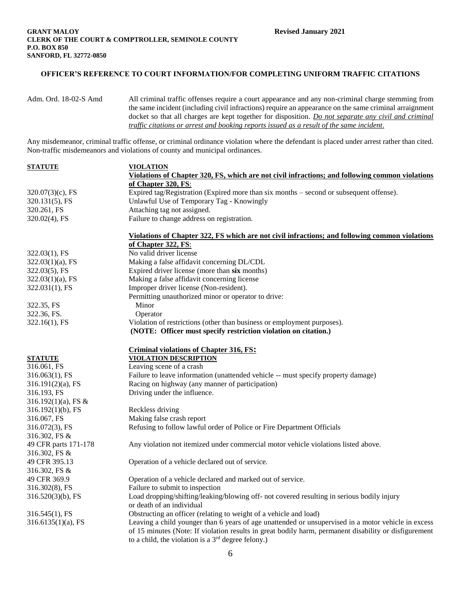```
Adm. Ord. 18-02-S Amd All criminal traffic offenses require a court appearance and any non-criminal charge stemming from
                     the same incident (including civil infractions) require an appearance on the same criminal arraignment 
                    docket so that all charges are kept together for disposition. Do not separate any civil and criminal 
                    traffic citations or arrest and booking reports issued as a result of the same incident.
```
Any misdemeanor, criminal traffic offense, or criminal ordinance violation where the defendant is placed under arrest rather than cited. Non-traffic misdemeanors and violations of county and municipal ordinances.

| <u>STATUTE</u>                | <u>VIOLATION</u>                                                                                      |
|-------------------------------|-------------------------------------------------------------------------------------------------------|
|                               | Violations of Chapter 320, FS, which are not civil infractions; and following common violations       |
|                               | of Chapter 320, FS:                                                                                   |
| $320.07(3)(c)$ , FS           | Expired tag/Registration (Expired more than six months – second or subsequent offense).               |
| 320.131(5), FS                | Unlawful Use of Temporary Tag - Knowingly                                                             |
| 320.261, FS                   | Attaching tag not assigned.                                                                           |
| 320.02(4), FS                 | Failure to change address on registration.                                                            |
|                               | Violations of Chapter 322, FS which are not civil infractions; and following common violations        |
|                               | of Chapter 322, FS:                                                                                   |
| 322.03(1), FS                 | No valid driver license                                                                               |
| $322.03(1)(a)$ , FS           | Making a false affidavit concerning DL/CDL                                                            |
| 322.03(5), FS                 | Expired driver license (more than six months)                                                         |
| $322.03(1)(a)$ , FS           | Making a false affidavit concerning license                                                           |
| 322.031(1), FS                | Improper driver license (Non-resident).                                                               |
|                               | Permitting unauthorized minor or operator to drive:                                                   |
| 322.35, FS                    | Minor                                                                                                 |
| 322.36, FS.                   | Operator                                                                                              |
| 322.16(1), FS                 | Violation of restrictions (other than business or employment purposes).                               |
|                               | (NOTE: Officer must specify restriction violation on citation.)                                       |
|                               |                                                                                                       |
|                               | <b>Criminal violations of Chapter 316, FS:</b><br><b>VIOLATION DESCRIPTION</b>                        |
| <b>STATUTE</b><br>316.061, FS | Leaving scene of a crash                                                                              |
| 316.063(1), FS                | Failure to leave information (unattended vehicle -- must specify property damage)                     |
|                               | Racing on highway (any manner of participation)                                                       |
| $316.191(2)(a)$ , FS          |                                                                                                       |
| 316.193, FS                   | Driving under the influence.                                                                          |
| 316.192 $(1)(a)$ , FS &       |                                                                                                       |
| $316.192(1)(b)$ , FS          | Reckless driving                                                                                      |
| 316.067, FS                   | Making false crash report                                                                             |
| 316.072(3), FS                | Refusing to follow lawful order of Police or Fire Department Officials                                |
| 316.302, FS &                 |                                                                                                       |
| 49 CFR parts 171-178          | Any violation not itemized under commercial motor vehicle violations listed above.                    |
| 316.302, FS &                 |                                                                                                       |
| 49 CFR 395.13                 | Operation of a vehicle declared out of service.                                                       |
| 316.302, FS &                 |                                                                                                       |
| 49 CFR 369.9                  | Operation of a vehicle declared and marked out of service.                                            |
| 316.302(8), FS                | Failure to submit to inspection                                                                       |
| $316.520(3)(b)$ , FS          | Load dropping/shifting/leaking/blowing off- not covered resulting in serious bodily injury            |
|                               | or death of an individual                                                                             |
| 316.545(1), FS                | Obstructing an officer (relating to weight of a vehicle and load)                                     |
| $316.6135(1)(a)$ , FS         | Leaving a child younger than 6 years of age unattended or unsupervised in a motor vehicle in excess   |
|                               | of 15 minutes (Note: If violation results in great bodily harm, permanent disability or disfigurement |
|                               | to a child, the violation is a $3rd$ degree felony.)                                                  |